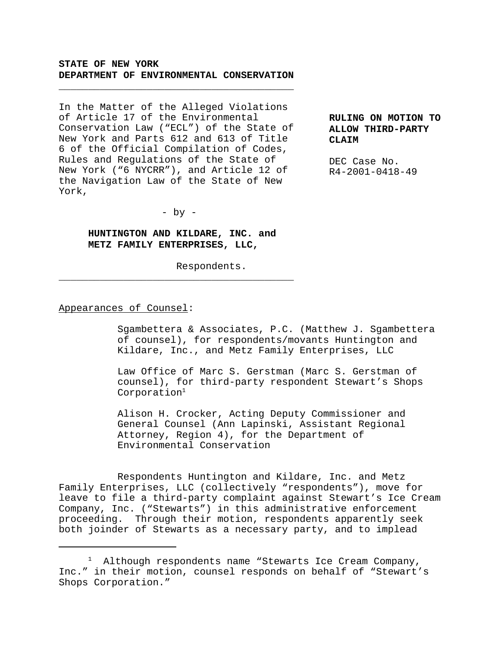## **STATE OF NEW YORK DEPARTMENT OF ENVIRONMENTAL CONSERVATION**

\_\_\_\_\_\_\_\_\_\_\_\_\_\_\_\_\_\_\_\_\_\_\_\_\_\_\_\_\_\_\_\_\_\_\_\_\_\_\_\_

In the Matter of the Alleged Violations of Article 17 of the Environmental Conservation Law ("ECL") of the State of New York and Parts 612 and 613 of Title 6 of the Official Compilation of Codes, Rules and Regulations of the State of New York ("6 NYCRR"), and Article 12 of the Navigation Law of the State of New York,

**RULING ON MOTION TO ALLOW THIRD-PARTY CLAIM**

DEC Case No. R4-2001-0418-49

- by -

# **HUNTINGTON AND KILDARE, INC. and METZ FAMILY ENTERPRISES, LLC,**

\_\_\_\_\_\_\_\_\_\_\_\_\_\_\_\_\_\_\_\_\_\_\_\_\_\_\_\_\_\_\_\_\_\_\_\_\_\_\_\_

Respondents.

#### Appearances of Counsel:

Sgambettera & Associates, P.C. (Matthew J. Sgambettera of counsel), for respondents/movants Huntington and Kildare, Inc., and Metz Family Enterprises, LLC

Law Office of Marc S. Gerstman (Marc S. Gerstman of counsel), for third-party respondent Stewart's Shops Corporation<sup>1</sup>

Alison H. Crocker, Acting Deputy Commissioner and General Counsel (Ann Lapinski, Assistant Regional Attorney, Region 4), for the Department of Environmental Conservation

Respondents Huntington and Kildare, Inc. and Metz Family Enterprises, LLC (collectively "respondents"), move for leave to file a third-party complaint against Stewart's Ice Cream Company, Inc. ("Stewarts") in this administrative enforcement proceeding. Through their motion, respondents apparently seek both joinder of Stewarts as a necessary party, and to implead

<sup>&</sup>lt;sup>1</sup> Although respondents name "Stewarts Ice Cream Company, Inc." in their motion, counsel responds on behalf of "Stewart's Shops Corporation."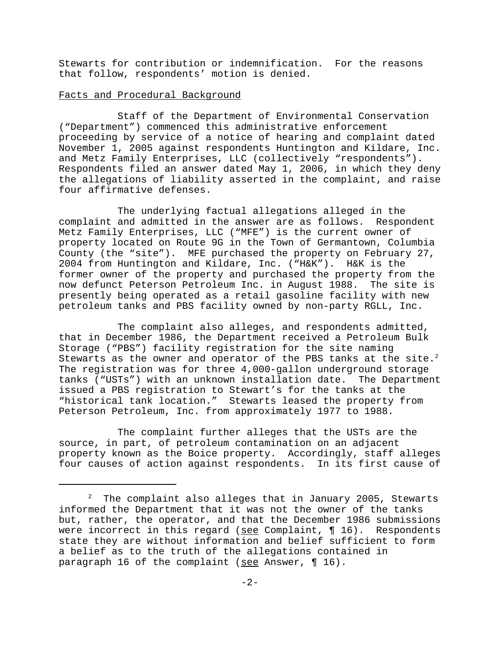Stewarts for contribution or indemnification. For the reasons that follow, respondents' motion is denied.

### Facts and Procedural Background

Staff of the Department of Environmental Conservation ("Department") commenced this administrative enforcement proceeding by service of a notice of hearing and complaint dated November 1, 2005 against respondents Huntington and Kildare, Inc. and Metz Family Enterprises, LLC (collectively "respondents"). Respondents filed an answer dated May 1, 2006, in which they deny the allegations of liability asserted in the complaint, and raise four affirmative defenses.

The underlying factual allegations alleged in the complaint and admitted in the answer are as follows. Respondent Metz Family Enterprises, LLC ("MFE") is the current owner of property located on Route 9G in the Town of Germantown, Columbia County (the "site"). MFE purchased the property on February 27, 2004 from Huntington and Kildare, Inc. ("H&K"). H&K is the former owner of the property and purchased the property from the now defunct Peterson Petroleum Inc. in August 1988. The site is presently being operated as a retail gasoline facility with new petroleum tanks and PBS facility owned by non-party RGLL, Inc.

The complaint also alleges, and respondents admitted, that in December 1986, the Department received a Petroleum Bulk Storage ("PBS") facility registration for the site naming Stewarts as the owner and operator of the PBS tanks at the site.<sup>2</sup> The registration was for three 4,000-gallon underground storage tanks ("USTs") with an unknown installation date. The Department issued a PBS registration to Stewart's for the tanks at the "historical tank location." Stewarts leased the property from Peterson Petroleum, Inc. from approximately 1977 to 1988.

The complaint further alleges that the USTs are the source, in part, of petroleum contamination on an adjacent property known as the Boice property. Accordingly, staff alleges four causes of action against respondents. In its first cause of

 $2$  The complaint also alleges that in January 2005, Stewarts informed the Department that it was not the owner of the tanks but, rather, the operator, and that the December 1986 submissions were incorrect in this regard (see Complaint,  $\P$  16). Respondents state they are without information and belief sufficient to form a belief as to the truth of the allegations contained in paragraph 16 of the complaint (see Answer,  $\P$  16).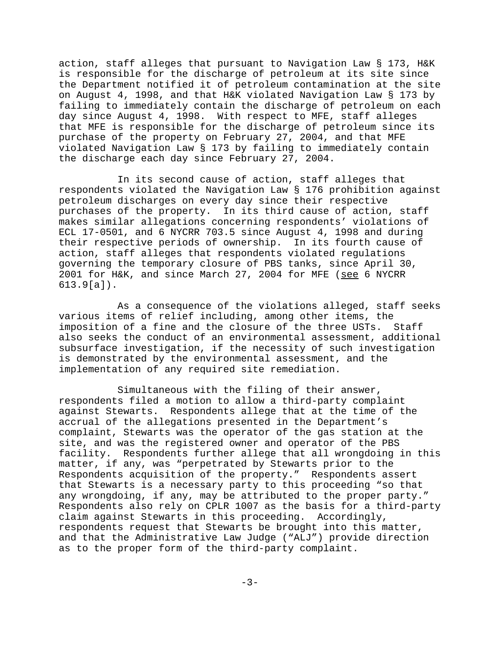action, staff alleges that pursuant to Navigation Law § 173, H&K is responsible for the discharge of petroleum at its site since the Department notified it of petroleum contamination at the site on August 4, 1998, and that H&K violated Navigation Law § 173 by failing to immediately contain the discharge of petroleum on each day since August 4, 1998. With respect to MFE, staff alleges that MFE is responsible for the discharge of petroleum since its purchase of the property on February 27, 2004, and that MFE violated Navigation Law § 173 by failing to immediately contain the discharge each day since February 27, 2004.

In its second cause of action, staff alleges that respondents violated the Navigation Law § 176 prohibition against petroleum discharges on every day since their respective purchases of the property. In its third cause of action, staff makes similar allegations concerning respondents' violations of ECL 17-0501, and 6 NYCRR 703.5 since August 4, 1998 and during their respective periods of ownership. In its fourth cause of action, staff alleges that respondents violated regulations governing the temporary closure of PBS tanks, since April 30, 2001 for H&K, and since March 27, 2004 for MFE (see 6 NYCRR 613.9[a]).

As a consequence of the violations alleged, staff seeks various items of relief including, among other items, the imposition of a fine and the closure of the three USTs. Staff also seeks the conduct of an environmental assessment, additional subsurface investigation, if the necessity of such investigation is demonstrated by the environmental assessment, and the implementation of any required site remediation.

Simultaneous with the filing of their answer, respondents filed a motion to allow a third-party complaint against Stewarts. Respondents allege that at the time of the accrual of the allegations presented in the Department's complaint, Stewarts was the operator of the gas station at the site, and was the registered owner and operator of the PBS facility. Respondents further allege that all wrongdoing in this matter, if any, was "perpetrated by Stewarts prior to the Respondents acquisition of the property." Respondents assert that Stewarts is a necessary party to this proceeding "so that any wrongdoing, if any, may be attributed to the proper party." Respondents also rely on CPLR 1007 as the basis for a third-party claim against Stewarts in this proceeding. Accordingly, respondents request that Stewarts be brought into this matter, and that the Administrative Law Judge ("ALJ") provide direction as to the proper form of the third-party complaint.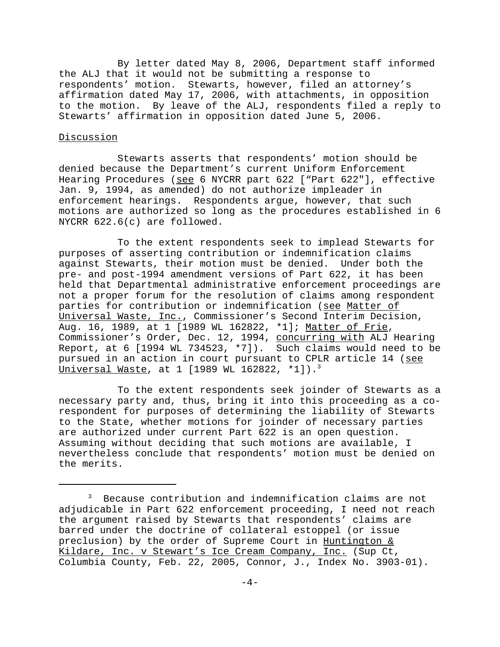By letter dated May 8, 2006, Department staff informed the ALJ that it would not be submitting a response to respondents' motion. Stewarts, however, filed an attorney's affirmation dated May 17, 2006, with attachments, in opposition to the motion. By leave of the ALJ, respondents filed a reply to Stewarts' affirmation in opposition dated June 5, 2006.

#### Discussion

Stewarts asserts that respondents' motion should be denied because the Department's current Uniform Enforcement Hearing Procedures (see 6 NYCRR part 622 ["Part 622"], effective Jan. 9, 1994, as amended) do not authorize impleader in enforcement hearings. Respondents argue, however, that such motions are authorized so long as the procedures established in 6 NYCRR 622.6(c) are followed.

 To the extent respondents seek to implead Stewarts for purposes of asserting contribution or indemnification claims against Stewarts, their motion must be denied. Under both the pre- and post-1994 amendment versions of Part 622, it has been held that Departmental administrative enforcement proceedings are not a proper forum for the resolution of claims among respondent parties for contribution or indemnification (see Matter of Universal Waste, Inc., Commissioner's Second Interim Decision, Aug. 16, 1989, at 1 [1989 WL 162822, \*1]; Matter of Frie, Commissioner's Order, Dec. 12, 1994, concurring with ALJ Hearing Report, at 6 [1994 WL 734523, \*7]). Such claims would need to be pursued in an action in court pursuant to CPLR article 14 (see Universal Waste, at 1 [1989 WL 162822, \*1]).<sup>3</sup>

To the extent respondents seek joinder of Stewarts as a necessary party and, thus, bring it into this proceeding as a corespondent for purposes of determining the liability of Stewarts to the State, whether motions for joinder of necessary parties are authorized under current Part 622 is an open question. Assuming without deciding that such motions are available, I nevertheless conclude that respondents' motion must be denied on the merits.

<sup>3</sup> Because contribution and indemnification claims are not adjudicable in Part 622 enforcement proceeding, I need not reach the argument raised by Stewarts that respondents' claims are barred under the doctrine of collateral estoppel (or issue preclusion) by the order of Supreme Court in Huntington & Kildare, Inc. v Stewart's Ice Cream Company, Inc. (Sup Ct, Columbia County, Feb. 22, 2005, Connor, J., Index No. 3903-01).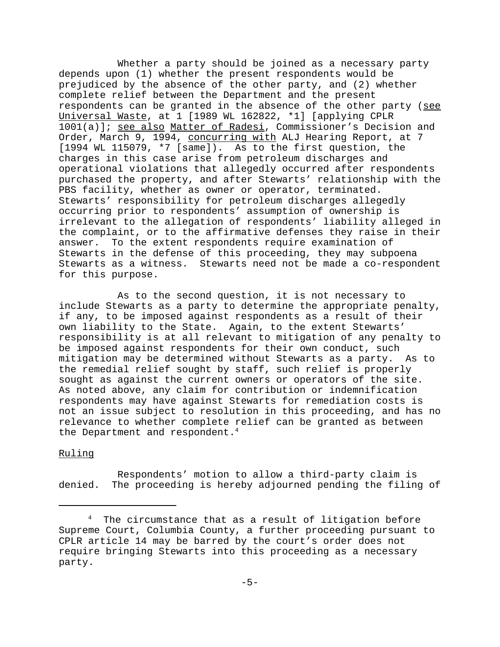Whether a party should be joined as a necessary party depends upon (1) whether the present respondents would be prejudiced by the absence of the other party, and (2) whether complete relief between the Department and the present respondents can be granted in the absence of the other party (see Universal Waste, at 1 [1989 WL 162822, \*1] [applying CPLR 1001(a)]; see also Matter of Radesi, Commissioner's Decision and Order, March 9, 1994, concurring with ALJ Hearing Report, at 7 [1994 WL 115079, \*7 [same]). As to the first question, the charges in this case arise from petroleum discharges and operational violations that allegedly occurred after respondents purchased the property, and after Stewarts' relationship with the PBS facility, whether as owner or operator, terminated. Stewarts' responsibility for petroleum discharges allegedly occurring prior to respondents' assumption of ownership is irrelevant to the allegation of respondents' liability alleged in the complaint, or to the affirmative defenses they raise in their answer. To the extent respondents require examination of Stewarts in the defense of this proceeding, they may subpoena Stewarts as a witness. Stewarts need not be made a co-respondent for this purpose.

As to the second question, it is not necessary to include Stewarts as a party to determine the appropriate penalty, if any, to be imposed against respondents as a result of their own liability to the State. Again, to the extent Stewarts' responsibility is at all relevant to mitigation of any penalty to be imposed against respondents for their own conduct, such mitigation may be determined without Stewarts as a party. As to the remedial relief sought by staff, such relief is properly sought as against the current owners or operators of the site. As noted above, any claim for contribution or indemnification respondents may have against Stewarts for remediation costs is not an issue subject to resolution in this proceeding, and has no relevance to whether complete relief can be granted as between the Department and respondent. $4$ 

### Ruling

Respondents' motion to allow a third-party claim is denied. The proceeding is hereby adjourned pending the filing of

<sup>4</sup> The circumstance that as a result of litigation before Supreme Court, Columbia County, a further proceeding pursuant to CPLR article 14 may be barred by the court's order does not require bringing Stewarts into this proceeding as a necessary party.